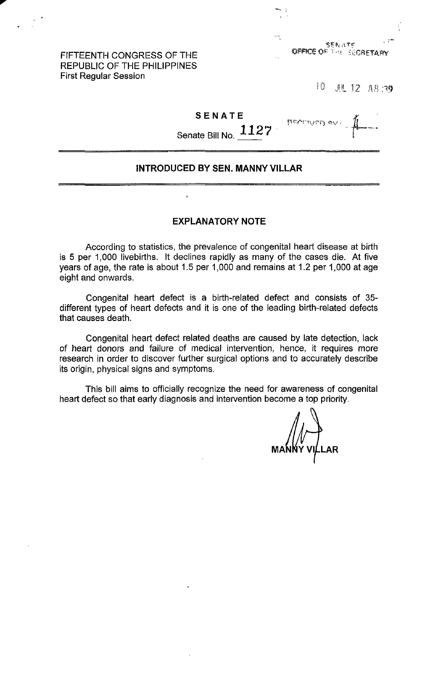FIFTEENTH CONGRESS OF THE REPUBLIC OF THE PHILIPPINES First Regular Session

,..

10. JU 12 A8:39

#### **SENATE**

narthyrn ev

Senate Bill No. **1127** .

### **INTRODUCED BY SEN. MANNY VILLAR**

#### **EXPLANATORY NOTE**

 $\overline{1}$ 

According to statistics, the prevalence of congenital heart disease at birth is 5 per 1,000 livebirths. It declines rapidly as many of the cases die. At five years of age, the rate is about 1.5 per 1,000 and remains at 1.2 per 1,000 at age eight and onwards.

Congenital heart defect is a birth-related defect and consists of 35 different types of heart defects and it is one of the leading birth-related defects that causes death.

Congenital heart defect related deaths are caused by late detection, lack of heart donors and failure of medical intervention, hence, it requires more research in order to discover further surgical options and to accurately describe its origin, physical signs and symptoms.

This bill aims to officially recognize the need for awareness of congenital heart defect so that early diagnosis and intervention become a top priority.